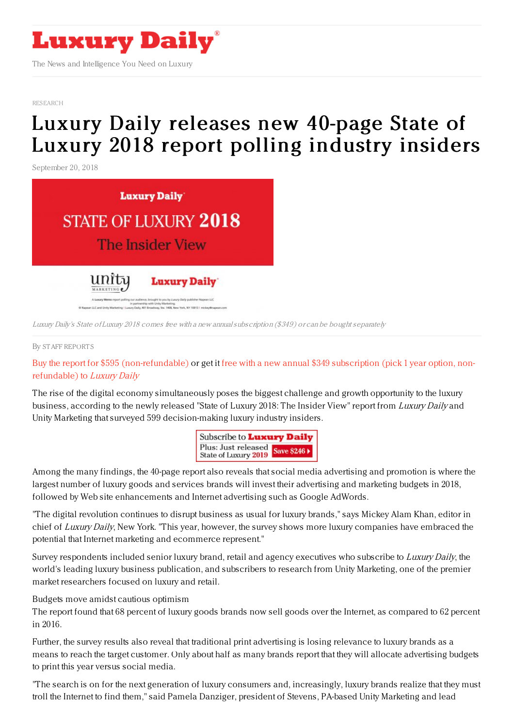

The News and Intelligence You Need on Luxury

[RESEARCH](file:///tmp/www.luxurydaily.com/category/news/research)

## Luxury Daily releases new 40-page State of Luxury 2018 report polling [industry](https://www.luxurydaily.com/luxury-daily-releases-new-40-page-state-of-luxury-2018-report-polling-industry-insiders-175/) insiders

September 20, 2018



Luxury Daily's State of Luxury 2018 comes free with <sup>a</sup> new annualsubscription (\$349) or can be bought separately

## By STAFF [REPORT](file:///author/staff-reports) S

Buy the report for \$595 [\(non-refundable\)](https://subscribe.luxurydaily.com/LUX/?f=12for12&s=IFOOTER) or get it free with a new annual \$349 subscription (pick 1 year option, nonrefundable) to Luxury Daily

The rise of the digital economy simultaneously poses the biggest challenge and growth opportunity to the luxury business, according to the newly released "State of Luxury 2018: The Insider View" report from Luxury Daily and Unity Marketing that surveyed 599 decision-making luxury industry insiders.

| Subscribe to <b>Luxury Daily</b>                         |  |
|----------------------------------------------------------|--|
| Plus: Just released<br>State of Luxury 2019 Save \$246 > |  |

Among the many findings, the 40-page report also reveals that social media advertising and promotion is where the largest number of luxury goods and services brands will invest their advertising and marketing budgets in 2018, followed by Web site enhancements and Internet advertising such as Google AdWords.

"The digital revolution continues to disrupt business as usual for luxury brands," says Mickey Alam Khan, editor in chief of Luxury Daily, New York. "This year, however, the survey shows more luxury companies have embraced the potential that Internet marketing and ecommerce represent."

Survey respondents included senior luxury brand, retail and agency executives who subscribe to Luxury Daily, the world's leading luxury business publication, and subscribers to research from Unity Marketing, one of the premier market researchers focused on luxury and retail.

Budgets move amidst cautious optimism

The report found that 68 percent of luxury goods brands now sell goods over the Internet, as compared to 62 percent in 2016.

Further, the survey results also reveal that traditional print advertising is losing relevance to luxury brands as a means to reach the target customer. Only about half as many brands report that they will allocate advertising budgets to print this year versus social media.

"The search is on for the next generation of luxury consumers and, increasingly, luxury brands realize that they must troll the Internet to find them," said Pamela Danziger, president of Stevens, PA-based Unity Marketing and lead